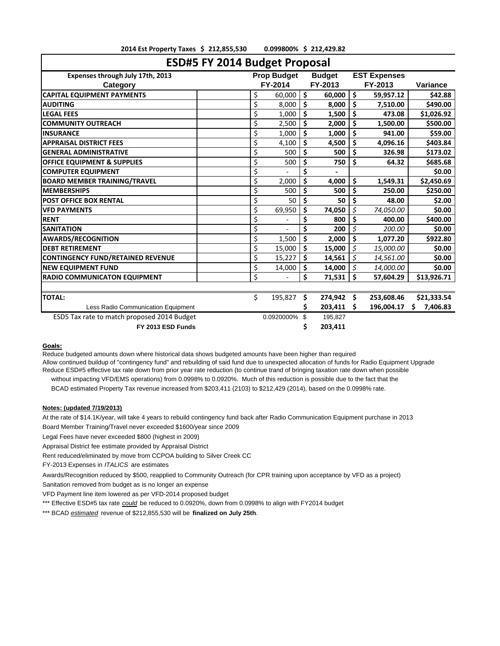| ESD#5 FY 2014 Budget Proposal               |    |                    |     |               |    |                     |                 |
|---------------------------------------------|----|--------------------|-----|---------------|----|---------------------|-----------------|
| Expenses through July 17th, 2013            |    | <b>Prop Budget</b> |     | <b>Budget</b> |    | <b>EST Expenses</b> |                 |
| Category                                    |    | FY-2014            |     | FY-2013       |    | FY-2013             | <b>Variance</b> |
| <b>CAPITAL EQUIPMENT PAYMENTS</b>           | \$ | 60,000             | \$  | 60,000        | \$ | 59,957.12           | \$42.88         |
| <b>AUDITING</b>                             | \$ | 8,000              | \$  | 8,000         | \$ | 7,510.00            | \$490.00        |
| <b>LEGAL FEES</b>                           | \$ | 1,000              | \$  | 1,500         | \$ | 473.08              | \$1,026.92      |
| <b>COMMUNITY OUTREACH</b>                   | \$ | 2,500              | \$  | 2,000         | Ś  | 1,500.00            | \$500.00        |
| <b>INSURANCE</b>                            | \$ | 1,000              | \$  | 1,000         | \$ | 941.00              | \$59.00         |
| <b>APPRAISAL DISTRICT FEES</b>              | \$ | 4,100              | \$  | 4,500         | \$ | 4,096.16            | \$403.84        |
| <b>GENERAL ADMINISTRATIVE</b>               | \$ | 500                | \$  | 500           | \$ | 326.98              | \$173.02        |
| <b>OFFICE EQUIPMENT &amp; SUPPLIES</b>      | \$ | 500                | Ś   | 750           | Ś  | 64.32               | \$685.68        |
| <b>COMPUTER EQUIPMENT</b>                   | \$ |                    | \$  |               |    |                     | \$0.00          |
| <b>BOARD MEMBER TRAINING/TRAVEL</b>         | \$ | 2,000              | \$  | 4,000         | \$ | 1,549.31            | \$2,450.69      |
| <b>MEMBERSHIPS</b>                          | \$ | 500                | \$  | 500           | \$ | 250.00              | \$250.00        |
| <b>POST OFFICE BOX RENTAL</b>               | \$ | 50                 | Ś   | 50            | \$ | 48.00               | \$2.00          |
| <b>VFD PAYMENTS</b>                         | \$ | 69,950             | \$  | 74,050        | \$ | 74,050.00           | \$0.00          |
| <b>RENT</b>                                 | \$ |                    | \$  | 800           | Ś  | 400.00              | \$400.00        |
| <b>SANITATION</b>                           | \$ |                    | \$  | 200           | \$ | 200.00              | \$0.00          |
| <b>AWARDS/RECOGNITION</b>                   | \$ | 1,500              | Ś   | 2,000         | Ś  | 1,077.20            | \$922.80        |
| <b>DEBT RETIREMENT</b>                      | \$ | 15,000             | \$  | 15,000        | Ś  | 15,000.00           | \$0.00          |
| <b>CONTINGENCY FUND/RETAINED REVENUE</b>    | \$ | 15,227             | \$  | 14,561        | \$ | 14,561.00           | \$0.00          |
| <b>NEW EQUIPMENT FUND</b>                   | \$ | 14,000             | \$  | 14,000        | \$ | 14,000.00           | \$0.00          |
| <b>RADIO COMMUNICATON EQUIPMENT</b>         | \$ |                    | \$  | 71,531        | Ś  | 57.604.29           | \$13,926.71     |
| <b>TOTAL:</b>                               | \$ | 195,827            | Ŝ   | 274,942 \$    |    | 253,608.46          | \$21,333.54     |
| Less Radio Communication Equipment          |    |                    |     | 203,411       | Ŝ. | 196,004.17          | \$<br>7,406.83  |
|                                             |    |                    | \$. |               |    |                     |                 |
| ESD5 Tax rate to match proposed 2014 Budget |    | 0.0920000%         |     | 195,827       |    |                     |                 |
| FY 2013 ESD Funds                           |    |                    | Ś   | 203,411       |    |                     |                 |

**2014 Est Property Taxes 212,855,530 \$ 0.099800% 212,429.82 \$** 

## **Goals:**

Reduce budgeted amounts down where historical data shows budgeted amounts have been higher than required

Allow continued buildup of "contingency fund" and rebuilding of said fund due to unexpected allocation of funds for Radio Equipment Upgrade Reduce ESD#5 effective tax rate down from prior year rate reduction (to continue trand of bringing taxation rate down when possible without impacting VFD/EMS operations) from 0.0998% to 0.0920%. Much of this reduction is possible due to the fact that the

BCAD estimated Property Tax revenue increased from \$203,411 (2103) to \$212,429 (2014), based on the 0.0998% rate.

**Notes: (updated 7/19/2013)**

At the rate of \$14.1K/year, will take 4 years to rebuild contingency fund back after Radio Communication Equipment purchase in 2013

Board Member Training/Travel never exceeded \$1600/year since 2009

Legal Fees have never exceeded \$800 (highest in 2009)

Appraisal District fee estimate provided by Appraisal District

Rent reduced/eliminated by move from CCPOA building to Silver Creek CC

FY-2013 Expenses in *ITALICS* are estimates

Awards/Recognition reduced by \$500, reapplied to Community Outreach (for CPR training upon acceptance by VFD as a project) Sanitation removed from budget as is no longer an expense

VFD Payment line item lowered as per VFD-2014 proposed budget

\*\*\* Effective ESD#5 tax rate *could* be reduced to 0.0920%, down from 0.0998% to align with FY2014 budget

\*\*\* BCAD *estimated* revenue of \$212,855,530 will be **finalized on July 25th**.